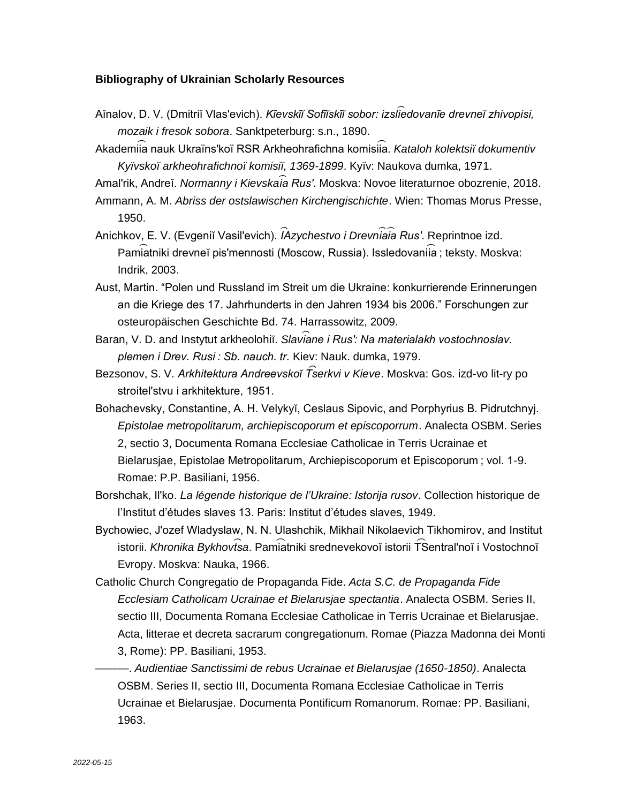## **Bibliography of Ukrainian Scholarly Resources**

- Aĭnalov, D. V. (Dmitriĭ Vlasʹevich). *Kīevskīĭ Sofīĭskīĭ sobor: izsli ︠e ︡dovanīe drevneĭ zhivopisi, mozaik i fresok sobora*. Sanktpeterburg: s.n., 1890.
- Akademiia nauk Ukraïns'koï RSR Arkheohrafichna komisiia. *Kataloh kolektsiï dokumentiv Kyïvskoï arkheohrafichnoï komisiï, 1369-1899*. Kyïv: Naukova dumka, 1971.

Amal'rik, Andreĭ. *Normanny i Kievskaia Rus'*. Moskva: Novoe literaturnoe obozrenie, 2018.

Ammann, A. M. *Abriss der ostslawischen Kirchengischichte*. Wien: Thomas Morus Presse, 1950.

- Anichkov, E. V. (Evgeniĭ Vasilʹevich). *I ︠A︡ zychestvo i Drevni ︠a ︡ i ︠a ︡ Rusʹ*. Reprintnoe izd. Pamiatniki drevneĭ pis'mennosti (Moscow, Russia). Issledovaniia ; teksty. Moskva: Indrik, 2003.
- Aust, Martin. "Polen und Russland im Streit um die Ukraine: konkurrierende Erinnerungen an die Kriege des 17. Jahrhunderts in den Jahren 1934 bis 2006." Forschungen zur osteuropäischen Geschichte Bd. 74. Harrassowitz, 2009.
- Baran, V. D. and Instytut arkheolohiï. Slaviane i Rus': Na materialakh vostochnoslav. *plemen i Drev. Rusi : Sb. nauch. tr.* Kiev: Nauk. dumka, 1979.
- Bezsonov, S. V. *Arkhitektura Andreevskoĭ T͡serkvi v Kieve*. Moskva: Gos. izd-vo lit-ry po stroitel'stvu i arkhitekture, 1951.
- Bohachevsky, Constantine, A. H. Velykyĭ, Ceslaus Sipovic, and Porphyrius B. Pidrutchnyj. *Epistolae metropolitarum, archiepiscoporum et episcoporrum*. Analecta OSBM. Series 2, sectio 3, Documenta Romana Ecclesiae Catholicae in Terris Ucrainae et Bielarusjae, Epistolae Metropolitarum, Archiepiscoporum et Episcoporum ; vol. 1-9. Romae: P.P. Basiliani, 1956.
- Borshchak, Il'ko. *La légende historique de l'Ukraine: Istorija rusov*. Collection historique de l'Institut d'études slaves 13. Paris: Institut d'études slaves, 1949.
- Bychowiec, J'ozef Wladyslaw, N. N. Ulashchik, Mikhail Nikolaevich Tikhomirov, and Institut istorii. *Khronika Bykhovt͡sa*. Pami͡atniki srednevekovoĭ istorii T͡Sentral'noĭ i Vostochnoĭ Evropy. Moskva: Nauka, 1966.
- Catholic Church Congregatio de Propaganda Fide. *Acta S.C. de Propaganda Fide Ecclesiam Catholicam Ucrainae et Bielarusjae spectantia*. Analecta OSBM. Series II, sectio III, Documenta Romana Ecclesiae Catholicae in Terris Ucrainae et Bielarusjae. Acta, litterae et decreta sacrarum congregationum. Romae (Piazza Madonna dei Monti 3, Rome): PP. Basiliani, 1953.
- ———. *Audientiae Sanctissimi de rebus Ucrainae et Bielarusjae (1650-1850)*. Analecta OSBM. Series II, sectio III, Documenta Romana Ecclesiae Catholicae in Terris Ucrainae et Bielarusjae. Documenta Pontificum Romanorum. Romae: PP. Basiliani, 1963.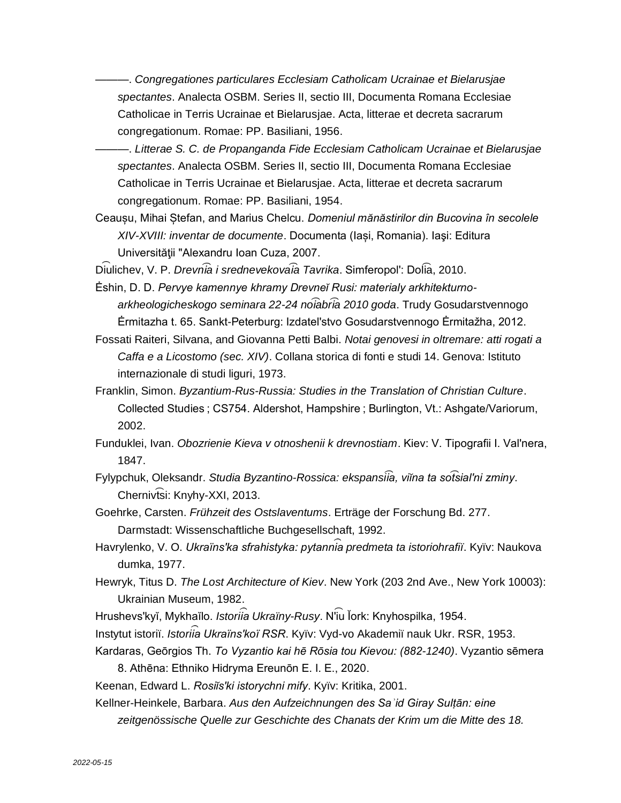———. *Congregationes particulares Ecclesiam Catholicam Ucrainae et Bielarusjae spectantes*. Analecta OSBM. Series II, sectio III, Documenta Romana Ecclesiae Catholicae in Terris Ucrainae et Bielarusjae. Acta, litterae et decreta sacrarum congregationum. Romae: PP. Basiliani, 1956.

———. *Litterae S. C. de Propanganda Fide Ecclesiam Catholicam Ucrainae et Bielarusjae spectantes*. Analecta OSBM. Series II, sectio III, Documenta Romana Ecclesiae Catholicae in Terris Ucrainae et Bielarusjae. Acta, litterae et decreta sacrarum congregationum. Romae: PP. Basiliani, 1954.

Ceaușu, Mihai Ștefan, and Marius Chelcu. *Domeniul mănăstirilor din Bucovina în secolele XIV-XVIII: inventar de documente*. Documenta (Iași, Romania). Iaşi: Editura Universităţii "Alexandru Ioan Cuza, 2007.

Diulichev, V. P. *Drevnia i srednevekovaia Tavrika*. Simferopol': Dolia, 2010.

Ėshin, D. D. *Pervye kamennye khramy Drevneĭ Rusi: materialy arkhitekturnoarkheologicheskogo seminara 22-24 no͡iabr͡ia 2010 goda*. Trudy Gosudarstvennogo Ėrmitazha t. 65. Sankt-Peterburg: Izdatelʹstvo Gosudarstvennogo Ėrmitažha, 2012.

Fossati Raiteri, Silvana, and Giovanna Petti Balbi. *Notai genovesi in oltremare: atti rogati a Caffa e a Licostomo (sec. XIV)*. Collana storica di fonti e studi 14. Genova: Istituto internazionale di studi liguri, 1973.

Franklin, Simon. *Byzantium-Rus-Russia: Studies in the Translation of Christian Culture*. Collected Studies ; CS754. Aldershot, Hampshire ; Burlington, Vt.: Ashgate/Variorum, 2002.

Funduklei, Ivan. *Obozrienie Kieva v otnoshenii k drevnostiam*. Kiev: V. Tipografii I. Valʹnera, 1847.

Fylypchuk, Oleksandr. *Studia Byzantino-Rossica: ekspansi͡ia, viĭna ta so͡tsialʹni zminy*. Chernivtsi: Knyhy-XXI, 2013.

Goehrke, Carsten. *Frühzeit des Ostslaventums*. Erträge der Forschung Bd. 277. Darmstadt: Wissenschaftliche Buchgesellschaft, 1992.

- Havrylenko, V. O. *Ukraïnsʹka sfrahistyka: pytanni ︠a ︡ predmeta ta istoriohrafiï*. Kyïv: Naukova dumka, 1977.
- Hewryk, Titus D. *The Lost Architecture of Kiev*. New York (203 2nd Ave., New York 10003): Ukrainian Museum, 1982.
- Hrushevs'kyĭ, Mykhaĭlo. *Istoriîa Ukraïny-Rusy*. N'i͡u ľork: Knyhospilka, 1954.
- Instytut istoriï. *Istoriia Ukraïns'koï RSR*. Kyïv: Vyd-vo Akademiï nauk Ukr. RSR, 1953.
- Kardaras, Geōrgios Th. *To Vyzantio kai hē Rōsia tou Kievou: (882-1240)*. Vyzantio sēmera 8. Athēna: Ethniko Hidryma Ereunōn E. I. E., 2020.

Keenan, Edward L. *Rosiĭsʹki istorychni mify*. Kyïv: Kritika, 2001.

Kellner-Heinkele, Barbara. *Aus den Aufzeichnungen des Saʾid Giray Sulṭān: eine*  zeitgenössische Quelle zur Geschichte des Chanats der Krim um die Mitte des 18.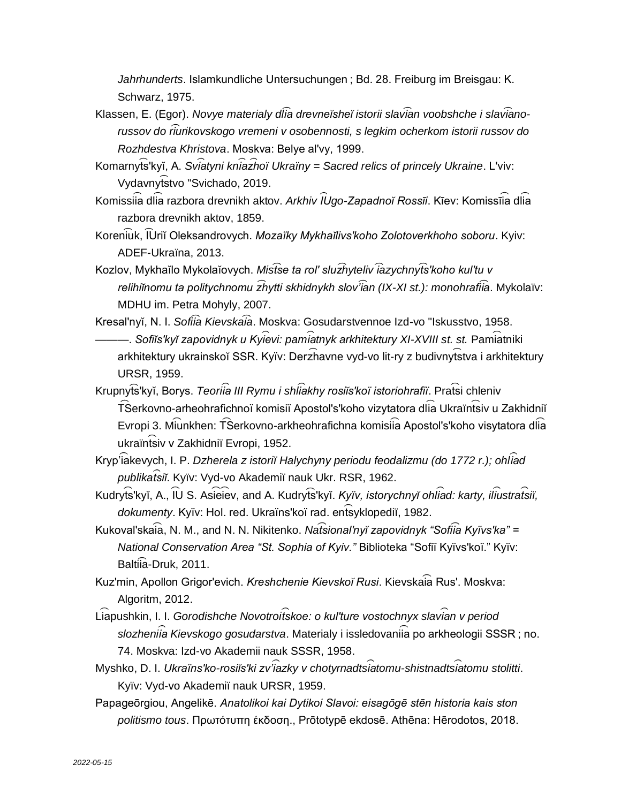*Jahrhunderts*. Islamkundliche Untersuchungen ; Bd. 28. Freiburg im Breisgau: K. Schwarz, 1975.

- Klassen, E. (Egor). *Novye materialy dl͡ia drevneĭsheĭ istorii slav͡ian voobshche i slav͡ianorussov do r͡iurikovskogo vremeni v osobennosti, s legkim ocherkom istorii russov do Rozhdestva Khristova*. Moskva: Belye alʹvy, 1999.
- Komarnyts'kyĭ, A. *Sviatyni kniazhoï Ukraïny = Sacred relics of princely Ukraine. L'viv:* Vydavnytstvo "Svichado, 2019.
- Komissiia dlia razbora drevnikh aktov. *Arkhiv ĪUgo-Zapadnoĭ Rossīi*. Kīev: Komissīia dlia razbora drevnikh aktov, 1859.
- Koren͡iuk, ͡IUriĭ Oleksandrovych. *Mozaïky Mykhaĭlivsʹkoho Zolotoverkhoho soboru*. Kyiv: ADEF-Ukraïna, 2013.
- Kozlov, Mykhaĭlo Mykolaĭovych. *Mis͡tse ta rolʹ sluz͡hyteliv ͡iazychny͡tsʹkoho kulʹtu v relihiĭnomu ta politychnomu z͡hytti skhidnykh slov'͡ian (IX-XI st.): monohrafi͡ia*. Mykolaïv: MDHU im. Petra Mohyly, 2007.
- Kresalʹnyĭ, N. I. *Sofi͡ia Kievska͡ia*. Moskva: Gosudarstvennoe Izd-vo "Iskusstvo, 1958. ———. *Sofiĭs'kyĭ zapovidnyk u Kyîevi: pamîatnyk arkhitektury XI-XVIII st. st. Pamîatniki* arkhitektury ukrainskoĭ SSR. Kyïv: Der $\widehat{\mathsf{z}}$ havne vyd-vo lit-ry z budivnyt͡stva i arkhitektury URSR, 1959.
- Krupnyt͡s<sup>'</sup>kyĭ, Borys. *Teoriîa III Rymu i shlîakhy rosiĭs'koï istoriohrafiï*. Prat͡si chleniv  $\widehat{\mathsf{T}}$ Serkovno-arheohrafichnoï komisiï Apostol's'koho vizytatora dl $\widehat{\mathsf{ia}}$  Ukraïn $\widehat{\mathsf{fs}}$ iv u Zakhidniĭ Evropi 3. Miunkhen: TŜerkovno-arkheohrafichna komisiia Apostol's'koho visytatora dlia ukraïntsiv v Zakhidniï Evropi, 1952.
- Kryp'iakevych, I. P. *Dzherela z istoriï Halychyny periodu feodalizmu (do 1772 r.); ohliad publikat ︠s ︡ iĭ*. Kyïv: Vyd-vo Akademiï nauk Ukr. RSR, 1962.
- Kudryts'kyĭ, A., lU S. Asieiev, and A. Kudryts'kyĭ. *Kyïv, istorychnyĭ ohliad: karty, iliustratsiï,* dokumenty. Kyïv: Hol. red. Ukraïns'koï rad. entsyklopediï, 1982.
- Kukoval'skaia, N. M., and N. N. Nikitenko. *Natsional'nyĭ zapovidnyk "Sofiia Kyïvs'ka"* = *National Conservation Area "St. Sophia of Kyiv."* Biblioteka "Sofiï Kyïvsʹkoï." Kyïv: Balti͡ia-Druk, 2011.
- Kuzʹmin, Apollon Grigorʹevich. *Kreshchenie Kievskoĭ Rusi*. Kievska͡ia Rusʹ. Moskva: Algoritm, 2012.
- Liapushkin, I. I. *Gorodishche Novotroitskoe: o kul'ture vostochnyx slavian v period* slozheniia Kievskogo gosudarstva. Materialy i issledovaniia po arkheologii SSSR ; no. 74. Moskva: Izd-vo Akademii nauk SSSR, 1958.
- $M$ yshko, D. I. Ukraïns'ko-rosiĭs'ki zv'i $\hat{a}$ zky v chotyrnadtsi $\hat{a}$ tomu-shistnadtsi $\hat{a}$ tomu stolitti. Kyïv: Vyd-vo Akademiï nauk URSR, 1959.
- Papageōrgiou, Angelikē. *Anatolikoi kai Dytikoi Slavoi: eisagōgē stēn historia kais ston politismo tous*. Πρωτότυπη έκδοση., Prōtotypē ekdosē. Athēna: Hērodotos, 2018.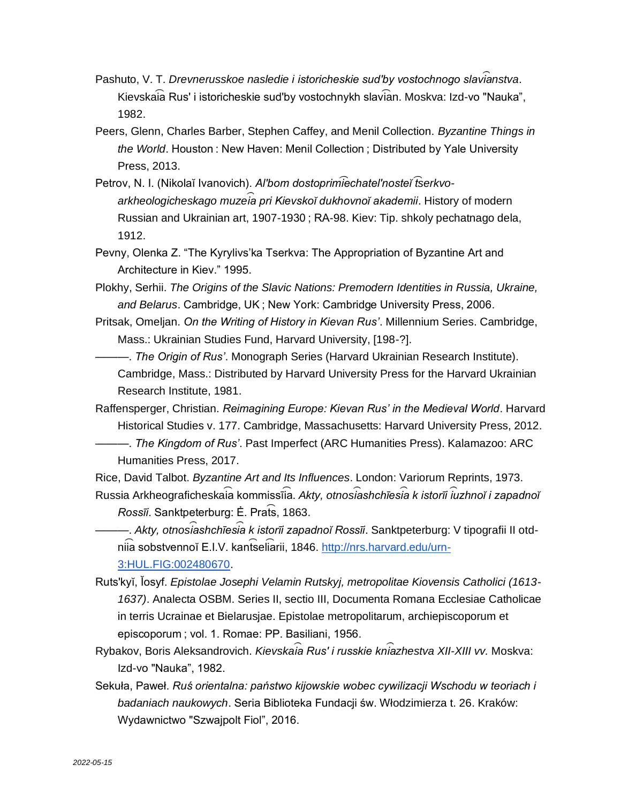- Pashuto, V. T. *Drevnerusskoe nasledie i istoricheskie sud'by vostochnogo slavianstva.* Kievska͡ia Rusʹ i istoricheskie sudʹby vostochnykh slav͡ian. Moskva: Izd-vo "Nauka", 1982.
- Peers, Glenn, Charles Barber, Stephen Caffey, and Menil Collection. *Byzantine Things in the World*. Houston : New Haven: Menil Collection ; Distributed by Yale University Press, 2013.
- Petrov, N. I. (Nikolaĭ Ivanovich). *Alʹbom dostoprim͡iechatelʹnosteĭ ͡tserkvoarkheologicheskago muzei ︠a ︡ pri Kievskoĭ dukhovnoĭ akademii*. History of modern Russian and Ukrainian art, 1907-1930 ; RA-98. Kiev: Tip. shkoly pechatnago dela, 1912.
- Pevny, Olenka Z. "The Kyrylivs'ka Tserkva: The Appropriation of Byzantine Art and Architecture in Kiev." 1995.
- Plokhy, Serhii. *The Origins of the Slavic Nations: Premodern Identities in Russia, Ukraine, and Belarus*. Cambridge, UK ; New York: Cambridge University Press, 2006.
- Pritsak, Omeljan. *On the Writing of History in Kievan Rus'*. Millennium Series. Cambridge, Mass.: Ukrainian Studies Fund, Harvard University, [198-?].
	- ———. *The Origin of Rus'*. Monograph Series (Harvard Ukrainian Research Institute). Cambridge, Mass.: Distributed by Harvard University Press for the Harvard Ukrainian Research Institute, 1981.

Raffensperger, Christian. *Reimagining Europe: Kievan Rus' in the Medieval World*. Harvard Historical Studies v. 177. Cambridge, Massachusetts: Harvard University Press, 2012.

———. *The Kingdom of Rus'*. Past Imperfect (ARC Humanities Press). Kalamazoo: ARC Humanities Press, 2017.

Rice, David Talbot. *Byzantine Art and Its Influences*. London: Variorum Reprints, 1973.  $R$ ussia Arkheograficheskaia kommissīia. *Akty, otnosiashchīesia k istorīi i̇̃uzhnoĭ i zapadnoĭ* 

*Rossīi*. Sanktpeterburg: Ė. Prats, 1863.

———. *Akty, otnosi ︠a ︡shchīesi ︠a ︡ k istorīi zapadnoĭ Rossīi*. Sanktpeterburg: V tipografii II otd-nii̇́a sobstvennoĭ E[.](http://nrs.harvard.edu/urn-3:HUL.FIG:002480670)I.V. kant͡seli͡arii, 1846. <u>http://nrs.harvard.edu/urn-</u>

[3:HUL.FIG:002480670.](http://nrs.harvard.edu/urn-3:HUL.FIG:002480670)

- Rutsʹkyĭ, Ĭosyf. *Epistolae Josephi Velamin Rutskyj, metropolitae Kiovensis Catholici (1613- 1637)*. Analecta OSBM. Series II, sectio III, Documenta Romana Ecclesiae Catholicae in terris Ucrainae et Bielarusjae. Epistolae metropolitarum, archiepiscoporum et episcoporum ; vol. 1. Romae: PP. Basiliani, 1956.
- Rybakov, Boris Aleksandrovich. *Kievskai ︠a ︡ Rusʹ i russkie kni ︠a ︡zhestva XII-XIII vv.* Moskva: Izd-vo "Nauka", 1982.
- Sekuła, Paweł. *Ruś orientalna: państwo kijowskie wobec cywilizacji Wschodu w teoriach i badaniach naukowych*. Seria Biblioteka Fundacji św. Włodzimierza t. 26. Kraków: Wydawnictwo "Szwajpolt Fiol", 2016.